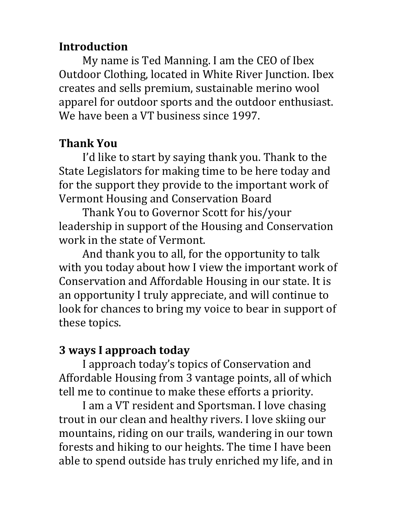### **Introduction**

My name is Ted Manning. I am the CEO of Ibex Outdoor Clothing, located in White River Junction. Ibex creates and sells premium, sustainable merino wool apparel for outdoor sports and the outdoor enthusiast. We have been a VT business since 1997.

# **Thank You**

I'd like to start by saying thank you. Thank to the State Legislators for making time to be here today and for the support they provide to the important work of Vermont Housing and Conservation Board

Thank You to Governor Scott for his/your leadership in support of the Housing and Conservation work in the state of Vermont.

And thank you to all, for the opportunity to talk with you today about how I view the important work of Conservation and Affordable Housing in our state. It is an opportunity I truly appreciate, and will continue to look for chances to bring my voice to bear in support of these topics.

### **3 ways I approach today**

I approach today's topics of Conservation and Affordable Housing from 3 vantage points, all of which tell me to continue to make these efforts a priority.

I am a VT resident and Sportsman. I love chasing trout in our clean and healthy rivers. I love skiing our mountains, riding on our trails, wandering in our town forests and hiking to our heights. The time I have been able to spend outside has truly enriched my life, and in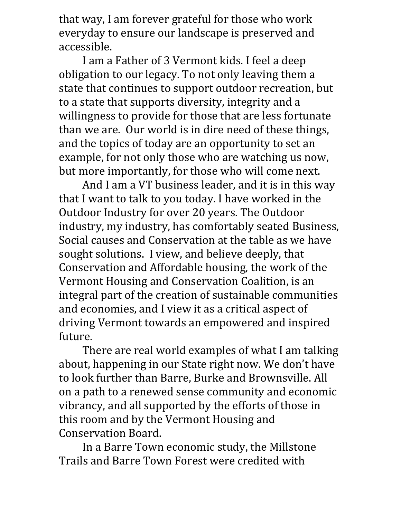that way, I am forever grateful for those who work everyday to ensure our landscape is preserved and accessible.

I am a Father of 3 Vermont kids. I feel a deep obligation to our legacy. To not only leaving them a state that continues to support outdoor recreation, but to a state that supports diversity, integrity and a willingness to provide for those that are less fortunate than we are. Our world is in dire need of these things, and the topics of today are an opportunity to set an example, for not only those who are watching us now, but more importantly, for those who will come next.

And I am a VT business leader, and it is in this way that I want to talk to you today. I have worked in the Outdoor Industry for over 20 years. The Outdoor industry, my industry, has comfortably seated Business, Social causes and Conservation at the table as we have sought solutions. I view, and believe deeply, that Conservation and Affordable housing, the work of the Vermont Housing and Conservation Coalition, is an integral part of the creation of sustainable communities and economies, and I view it as a critical aspect of driving Vermont towards an empowered and inspired future.

There are real world examples of what I am talking about, happening in our State right now. We don't have to look further than Barre, Burke and Brownsville. All on a path to a renewed sense community and economic vibrancy, and all supported by the efforts of those in this room and by the Vermont Housing and Conservation Board.

In a Barre Town economic study, the Millstone Trails and Barre Town Forest were credited with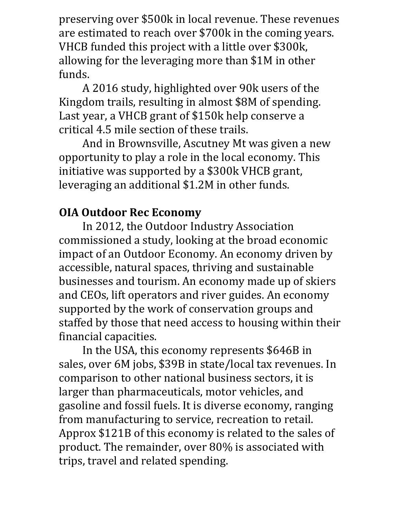preserving over \$500k in local revenue. These revenues are estimated to reach over \$700k in the coming years. VHCB funded this project with a little over \$300k, allowing for the leveraging more than \$1M in other funds.

A 2016 study, highlighted over 90k users of the Kingdom trails, resulting in almost \$8M of spending. Last year, a VHCB grant of \$150k help conserve a critical 4.5 mile section of these trails.

And in Brownsville, Ascutney Mt was given a new opportunity to play a role in the local economy. This initiative was supported by a \$300k VHCB grant, leveraging an additional \$1.2M in other funds.

# **OIA Outdoor Rec Economy**

In 2012, the Outdoor Industry Association commissioned a study, looking at the broad economic impact of an Outdoor Economy. An economy driven by accessible, natural spaces, thriving and sustainable businesses and tourism. An economy made up of skiers and CEOs, lift operators and river guides. An economy supported by the work of conservation groups and staffed by those that need access to housing within their financial capacities.

In the USA, this economy represents \$646B in sales, over 6M jobs, \$39B in state/local tax revenues. In comparison to other national business sectors, it is larger than pharmaceuticals, motor vehicles, and gasoline and fossil fuels. It is diverse economy, ranging from manufacturing to service, recreation to retail. Approx \$121B of this economy is related to the sales of product. The remainder, over 80% is associated with trips, travel and related spending.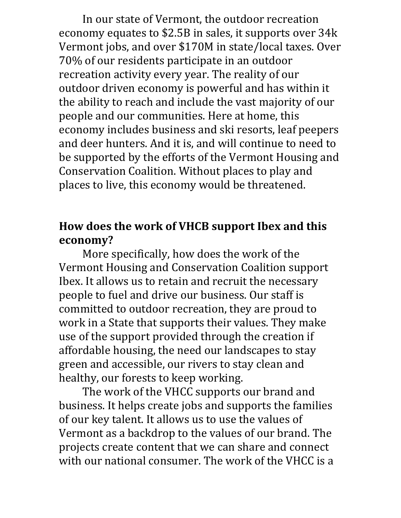In our state of Vermont, the outdoor recreation economy equates to \$2.5B in sales, it supports over 34k Vermont jobs, and over \$170M in state/local taxes. Over 70% of our residents participate in an outdoor recreation activity every year. The reality of our outdoor driven economy is powerful and has within it the ability to reach and include the vast majority of our people and our communities. Here at home, this economy includes business and ski resorts, leaf peepers and deer hunters. And it is, and will continue to need to be supported by the efforts of the Vermont Housing and Conservation Coalition. Without places to play and places to live, this economy would be threatened.

### **How does the work of VHCB support Ibex and this economy?**

More specifically, how does the work of the Vermont Housing and Conservation Coalition support Ibex. It allows us to retain and recruit the necessary people to fuel and drive our business. Our staff is committed to outdoor recreation, they are proud to work in a State that supports their values. They make use of the support provided through the creation if affordable housing, the need our landscapes to stay green and accessible, our rivers to stay clean and healthy, our forests to keep working.

The work of the VHCC supports our brand and business. It helps create jobs and supports the families of our key talent. It allows us to use the values of Vermont as a backdrop to the values of our brand. The projects create content that we can share and connect with our national consumer. The work of the VHCC is a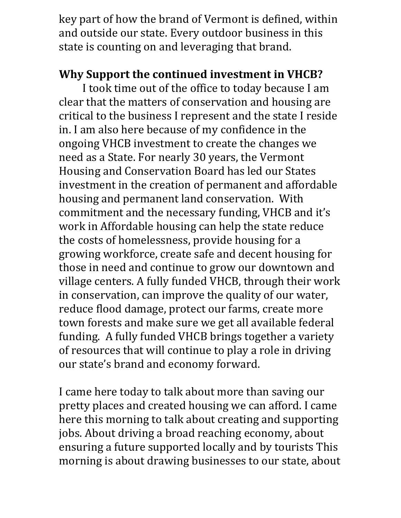key part of how the brand of Vermont is defined, within and outside our state. Every outdoor business in this state is counting on and leveraging that brand.

### **Why Support the continued investment in VHCB?**

I took time out of the office to today because I am clear that the matters of conservation and housing are critical to the business I represent and the state I reside in. I am also here because of my confidence in the ongoing VHCB investment to create the changes we need as a State. For nearly 30 years, the Vermont Housing and Conservation Board has led our States investment in the creation of permanent and affordable housing and permanent land conservation. With commitment and the necessary funding, VHCB and it's work in Affordable housing can help the state reduce the costs of homelessness, provide housing for a growing workforce, create safe and decent housing for those in need and continue to grow our downtown and village centers. A fully funded VHCB, through their work in conservation, can improve the quality of our water, reduce flood damage, protect our farms, create more town forests and make sure we get all available federal funding. A fully funded VHCB brings together a variety of resources that will continue to play a role in driving our state's brand and economy forward.

I came here today to talk about more than saving our pretty places and created housing we can afford. I came here this morning to talk about creating and supporting jobs. About driving a broad reaching economy, about ensuring a future supported locally and by tourists This morning is about drawing businesses to our state, about